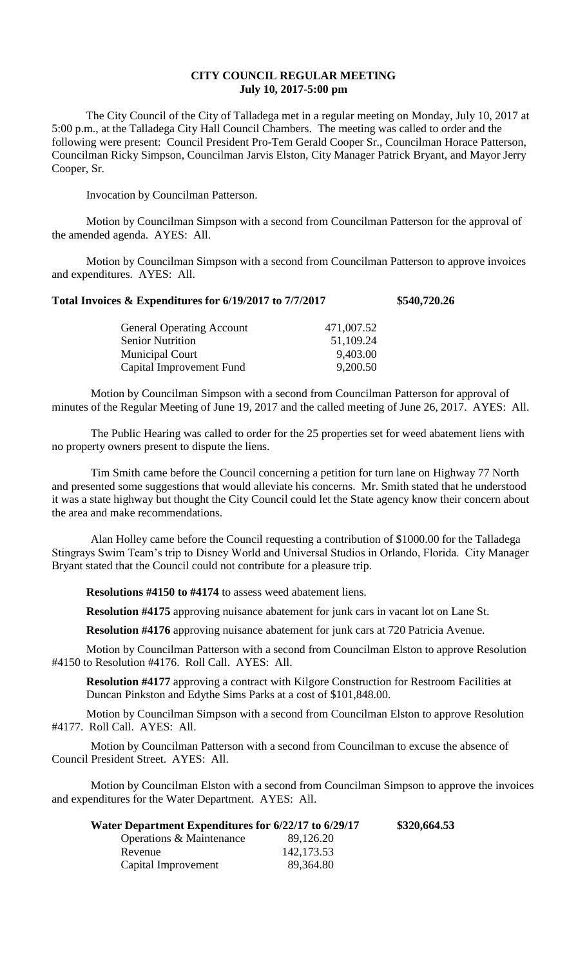## **CITY COUNCIL REGULAR MEETING July 10, 2017-5:00 pm**

The City Council of the City of Talladega met in a regular meeting on Monday, July 10, 2017 at 5:00 p.m., at the Talladega City Hall Council Chambers. The meeting was called to order and the following were present: Council President Pro-Tem Gerald Cooper Sr., Councilman Horace Patterson, Councilman Ricky Simpson, Councilman Jarvis Elston, City Manager Patrick Bryant, and Mayor Jerry Cooper, Sr.

Invocation by Councilman Patterson.

Motion by Councilman Simpson with a second from Councilman Patterson for the approval of the amended agenda. AYES: All.

Motion by Councilman Simpson with a second from Councilman Patterson to approve invoices and expenditures. AYES: All.

## **Total Invoices & Expenditures for 6/19/2017 to 7/7/2017 \$540,720.26**

| 471,007.52 |
|------------|
| 51,109.24  |
| 9,403.00   |
| 9,200.50   |
|            |

Motion by Councilman Simpson with a second from Councilman Patterson for approval of minutes of the Regular Meeting of June 19, 2017 and the called meeting of June 26, 2017. AYES: All.

The Public Hearing was called to order for the 25 properties set for weed abatement liens with no property owners present to dispute the liens.

Tim Smith came before the Council concerning a petition for turn lane on Highway 77 North and presented some suggestions that would alleviate his concerns. Mr. Smith stated that he understood it was a state highway but thought the City Council could let the State agency know their concern about the area and make recommendations.

Alan Holley came before the Council requesting a contribution of \$1000.00 for the Talladega Stingrays Swim Team's trip to Disney World and Universal Studios in Orlando, Florida. City Manager Bryant stated that the Council could not contribute for a pleasure trip.

**Resolutions #4150 to #4174** to assess weed abatement liens.

**Resolution #4175** approving nuisance abatement for junk cars in vacant lot on Lane St.

**Resolution #4176** approving nuisance abatement for junk cars at 720 Patricia Avenue.

Motion by Councilman Patterson with a second from Councilman Elston to approve Resolution #4150 to Resolution #4176. Roll Call. AYES: All.

**Resolution #4177** approving a contract with Kilgore Construction for Restroom Facilities at Duncan Pinkston and Edythe Sims Parks at a cost of \$101,848.00.

Motion by Councilman Simpson with a second from Councilman Elston to approve Resolution #4177. Roll Call. AYES: All.

Motion by Councilman Patterson with a second from Councilman to excuse the absence of Council President Street. AYES: All.

Motion by Councilman Elston with a second from Councilman Simpson to approve the invoices and expenditures for the Water Department. AYES: All.

| Water Department Expenditures for 6/22/17 to 6/29/17 |             | \$320,664.53 |
|------------------------------------------------------|-------------|--------------|
| Operations & Maintenance                             | 89,126.20   |              |
| Revenue                                              | 142, 173.53 |              |
| Capital Improvement                                  | 89,364.80   |              |